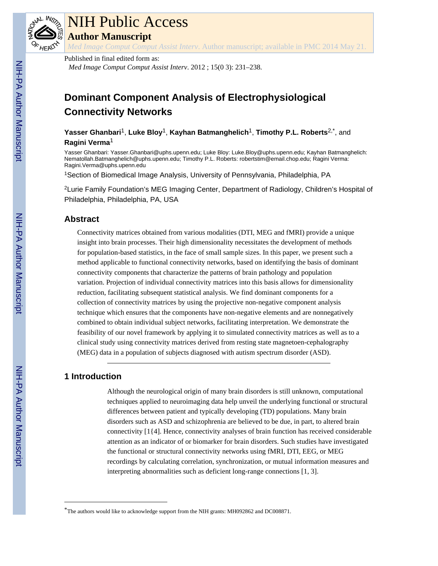

# NIH Public Access

**Author Manuscript**

*Med Image Comput Comput Assist Interv*. Author manuscript; available in PMC 2014 May 21.

# Published in final edited form as:

*Med Image Comput Comput Assist Interv*. 2012 ; 15(0 3): 231–238.

# **Dominant Component Analysis of Electrophysiological Connectivity Networks**

**Yasser Ghanbari**1, **Luke Bloy**1, **Kayhan Batmanghelich**1, **Timothy P.L. Roberts**2,\*, and **Ragini Verma**<sup>1</sup>

Yasser Ghanbari: Yasser.Ghanbari@uphs.upenn.edu; Luke Bloy: Luke.Bloy@uphs.upenn.edu; Kayhan Batmanghelich: Nematollah.Batmanghelich@uphs.upenn.edu; Timothy P.L. Roberts: robertstim@email.chop.edu; Ragini Verma: Ragini.Verma@uphs.upenn.edu

<sup>1</sup>Section of Biomedical Image Analysis, University of Pennsylvania, Philadelphia, PA

<sup>2</sup>Lurie Family Foundation's MEG Imaging Center, Department of Radiology, Children's Hospital of Philadelphia, Philadelphia, PA, USA

### **Abstract**

Connectivity matrices obtained from various modalities (DTI, MEG and fMRI) provide a unique insight into brain processes. Their high dimensionality necessitates the development of methods for population-based statistics, in the face of small sample sizes. In this paper, we present such a method applicable to functional connectivity networks, based on identifying the basis of dominant connectivity components that characterize the patterns of brain pathology and population variation. Projection of individual connectivity matrices into this basis allows for dimensionality reduction, facilitating subsequent statistical analysis. We find dominant components for a collection of connectivity matrices by using the projective non-negative component analysis technique which ensures that the components have non-negative elements and are nonnegatively combined to obtain individual subject networks, facilitating interpretation. We demonstrate the feasibility of our novel framework by applying it to simulated connectivity matrices as well as to a clinical study using connectivity matrices derived from resting state magnetoen-cephalography (MEG) data in a population of subjects diagnosed with autism spectrum disorder (ASD).

# **1 Introduction**

Although the neurological origin of many brain disorders is still unknown, computational techniques applied to neuroimaging data help unveil the underlying functional or structural differences between patient and typically developing (TD) populations. Many brain disorders such as ASD and schizophrenia are believed to be due, in part, to altered brain connectivity [1{4]. Hence, connectivity analyses of brain function has received considerable attention as an indicator of or biomarker for brain disorders. Such studies have investigated the functional or structural connectivity networks using fMRI, DTI, EEG, or MEG recordings by calculating correlation, synchronization, or mutual information measures and interpreting abnormalities such as deficient long-range connections [1, 3].

<sup>\*</sup>The authors would like to acknowledge support from the NIH grants: MH092862 and DC008871.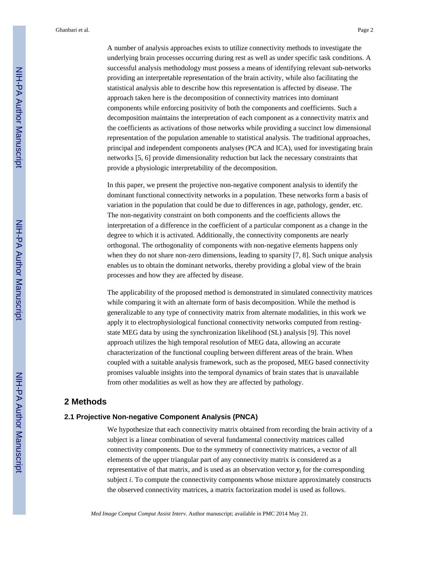A number of analysis approaches exists to utilize connectivity methods to investigate the underlying brain processes occurring during rest as well as under specific task conditions. A successful analysis methodology must possess a means of identifying relevant sub-networks providing an interpretable representation of the brain activity, while also facilitating the statistical analysis able to describe how this representation is affected by disease. The approach taken here is the decomposition of connectivity matrices into dominant components while enforcing positivity of both the components and coefficients. Such a decomposition maintains the interpretation of each component as a connectivity matrix and the coefficients as activations of those networks while providing a succinct low dimensional representation of the population amenable to statistical analysis. The traditional approaches, principal and independent components analyses (PCA and ICA), used for investigating brain networks [5, 6] provide dimensionality reduction but lack the necessary constraints that provide a physiologic interpretability of the decomposition.

In this paper, we present the projective non-negative component analysis to identify the dominant functional connectivity networks in a population. These networks form a basis of variation in the population that could be due to differences in age, pathology, gender, etc. The non-negativity constraint on both components and the coefficients allows the interpretation of a difference in the coefficient of a particular component as a change in the degree to which it is activated. Additionally, the connectivity components are nearly orthogonal. The orthogonality of components with non-negative elements happens only when they do not share non-zero dimensions, leading to sparsity [7, 8]. Such unique analysis enables us to obtain the dominant networks, thereby providing a global view of the brain processes and how they are affected by disease.

The applicability of the proposed method is demonstrated in simulated connectivity matrices while comparing it with an alternate form of basis decomposition. While the method is generalizable to any type of connectivity matrix from alternate modalities, in this work we apply it to electrophysiological functional connectivity networks computed from restingstate MEG data by using the synchronization likelihood (SL) analysis [9]. This novel approach utilizes the high temporal resolution of MEG data, allowing an accurate characterization of the functional coupling between different areas of the brain. When coupled with a suitable analysis framework, such as the proposed, MEG based connectivity promises valuable insights into the temporal dynamics of brain states that is unavailable from other modalities as well as how they are affected by pathology.

#### **2 Methods**

#### **2.1 Projective Non-negative Component Analysis (PNCA)**

We hypothesize that each connectivity matrix obtained from recording the brain activity of a subject is a linear combination of several fundamental connectivity matrices called connectivity components. Due to the symmetry of connectivity matrices, a vector of all elements of the upper triangular part of any connectivity matrix is considered as a representative of that matrix, and is used as an observation vector *y<sup>i</sup>* for the corresponding subject *i*. To compute the connectivity components whose mixture approximately constructs the observed connectivity matrices, a matrix factorization model is used as follows.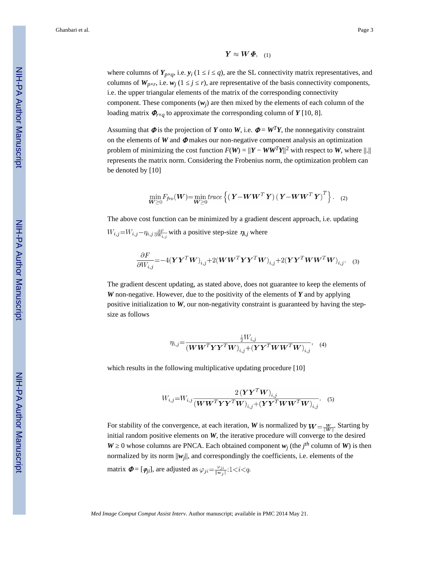$$
\boldsymbol{Y} \approx \boldsymbol{W}\boldsymbol{\varPhi},\ \ \, {\rm{(1)}}
$$

where columns of  $Y_{p \times q}$ , i.e.  $y_i$  (1  $i \neq q$ ), are the SL connectivity matrix representatives, and columns of  $W_{p \times r}$ , i.e.  $w_j$  (1  $j \in r$ ), are representative of the basis connectivity components, i.e. the upper triangular elements of the matrix of the corresponding connectivity component. These components  $(w_j)$  are then mixed by the elements of each column of the loading matrix  $\Phi_{r \times q}$  to approximate the corresponding column of *Y* [10, 8].

Assuming that  $\Phi$  is the projection of *Y* onto *W*, i.e.  $\Phi = W^T Y$ , the nonnegativity constraint on the elements of  $W$  and  $\Phi$  makes our non-negative component analysis an optimization problem of minimizing the cost function  $F(W) = ||Y - WW^T Y||^2$  with respect to W, where  $||.||$ represents the matrix norm. Considering the Frobenius norm, the optimization problem can be denoted by [10]

$$
\min_{\mathbf{W}\geq 0} F_{\mathit{fro}}(\mathbf{W}) = \min_{\mathbf{W}\geq 0} trace\left\{ (\mathbf{Y} - \mathbf{W}\mathbf{W}^T\mathbf{Y}) (\mathbf{Y} - \mathbf{W}\mathbf{W}^T\mathbf{Y})^T \right\}. \quad (2)
$$

The above cost function can be minimized by a gradient descent approach, i.e. updating with a positive step-size  $\eta_{i,j}$  where

$$
\frac{\partial F}{\partial W_{i,j}} = -4(\boldsymbol{Y}\boldsymbol{Y}^T\boldsymbol{W})_{i,j} + 2(\boldsymbol{W}\boldsymbol{W}^T\boldsymbol{Y}\boldsymbol{Y}^T\boldsymbol{W})_{i,j} + 2(\boldsymbol{Y}\boldsymbol{Y}^T\boldsymbol{W}\boldsymbol{W}^T\boldsymbol{W})_{i,j}.
$$
 (3)

The gradient descent updating, as stated above, does not guarantee to keep the elements of *W* non-negative. However, due to the positivity of the elements of *Y* and by applying positive initialization to *W*, our non-negativity constraint is guaranteed by having the stepsize as follows

$$
\eta_{i,j} = \frac{\frac{1}{2}W_{i,j}}{(WW^T \boldsymbol{Y} \boldsymbol{Y}^T \boldsymbol{W})_{i,j} + (\boldsymbol{Y} \boldsymbol{Y}^T \boldsymbol{W} \boldsymbol{W}^T \boldsymbol{W})_{i,j}}, \quad (4)
$$

which results in the following multiplicative updating procedure [10]

$$
W_{i,j} = W_{i,j} \frac{2\left(\boldsymbol{Y}\boldsymbol{Y}^T\boldsymbol{W}\right)_{i,j}}{\left(\boldsymbol{W}\boldsymbol{W}^T\boldsymbol{Y}\boldsymbol{Y}^T\boldsymbol{W}\right)_{i,j} + \left(\boldsymbol{Y}\boldsymbol{Y}^T\boldsymbol{W}\boldsymbol{W}^T\boldsymbol{W}\right)_{i,j}}.
$$
 (5)

For stability of the convergence, at each iteration, *W* is normalized by  $W = \frac{W}{\|W\|}$ . Starting by initial random positive elements on *W*, the iterative procedure will converge to the desired *W* 0 whose columns are PNCA. Each obtained component  $w_j$  (the *j*<sup>th</sup> column of *W*) is then normalized by its norm  $\|\mathbf{w}_j\|$ , and correspondingly the coefficients, i.e. elements of the

matrix  $\boldsymbol{\Phi} = [\varphi_{ji}]$ , are adjusted as  $\varphi_{ji} = \frac{\varphi_{ji}}{\|\boldsymbol{w}_j\|}$ :1<*i*<*q*.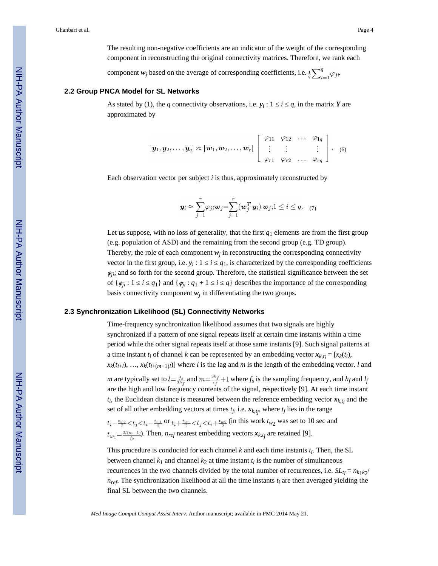The resulting non-negative coefficients are an indicator of the weight of the corresponding component in reconstructing the original connectivity matrices. Therefore, we rank each

component  $w_j$  based on the average of corresponding coefficients, i.e.  $\frac{1}{q} \sum_{i=1}^{q} \varphi_{ji}$ .

#### **2.2 Group PNCA Model for SL Networks**

As stated by (1), the *q* connectivity observations, i.e.  $y_i$ : 1 *i q*, in the matrix *Y* are approximated by

$$
[\mathbf{y}_1, \mathbf{y}_2, \ldots, \mathbf{y}_q] \approx [\mathbf{w}_1, \mathbf{w}_2, \ldots, \mathbf{w}_r] \left[ \begin{array}{ccc} \varphi_{11} & \varphi_{12} & \ldots & \varphi_{1q} \\ \vdots & \vdots & & \vdots \\ \varphi_{r1} & \varphi_{r2} & \ldots & \varphi_{rq} \end{array} \right].
$$
 (6)

Each observation vector per subject *i* is thus, approximately reconstructed by

$$
\boldsymbol{y}_i \approx \sum_{j=1}^r \varphi_{ji} \boldsymbol{w}_j = \sum_{j=1}^r (\boldsymbol{w}_j^T \, \boldsymbol{y}_i) \, \boldsymbol{w}_j; 1 \leq i \leq q. \quad (7)
$$

Let us suppose, with no loss of generality, that the first  $q_1$  elements are from the first group (e.g. population of ASD) and the remaining from the second group (e.g. TD group). Thereby, the role of each component  $w_j$  in reconstructing the corresponding connectivity vector in the first group, i.e.  $y_i$ : 1 *i*  $q_1$ , is characterized by the corresponding coefficients  $\varphi_{ii}$ ; and so forth for the second group. Therefore, the statistical significance between the set of  $\{\varphi_{ji}: 1 \quad i \quad q_1\}$  and  $\{\varphi_{ji}: q_1 + 1 \quad i \quad q\}$  describes the importance of the corresponding basis connectivity component  $w_j$  in differentiating the two groups.

#### **2.3 Synchronization Likelihood (SL) Connectivity Networks**

Time-frequency synchronization likelihood assumes that two signals are highly synchronized if a pattern of one signal repeats itself at certain time instants within a time period while the other signal repeats itself at those same instants [9]. Such signal patterns at a time instant  $t_i$  of channel  $k$  can be represented by an embedding vector  $\mathbf{x}_{k,t_i} = [x_k(t_i),$  $x_k(t_{i+1}), \ldots, x_k(t_{i+(m-1)l})$  where *l* is the lag and *m* is the length of the embedding vector. *l* and

*m* are typically set to  $l = \frac{fs}{3h_f}$  and  $m = \frac{3h_f}{l_f} + 1$  where  $f_s$  is the sampling frequency, and  $h_f$  and  $l_f$ are the high and low frequency contents of the signal, respectively [9]. At each time instant  $t_i$ , the Euclidean distance is measured between the reference embedding vector  $x_{k,t_i}$  and the set of all other embedding vectors at times  $t_j$ , i.e.  $\mathbf{x}_{k,t_j}$ , where  $t_j$  lies in the range

$$
t_i - \frac{t_{w2}}{2} < t_j < t_i - \frac{t_{w1}}{2}
$$
 or  $t_i + \frac{t_{w1}}{2} < t_j < t_i + \frac{t_{w2}}{2}$  (in this work  $t_{w2}$  was set to 10 sec and  $t_{w1} = \frac{2l(m-1)}{fs}$ ). Then,  $n_{ref}$  nearest embedding vectors  $x_{k,t_j}$  are retained [9].

This procedure is conducted for each channel *k* and each time instants *t<sup>i</sup>* . Then, the SL between channel  $k_1$  and channel  $k_2$  at time instant  $t_i$  is the number of simultaneous recurrences in the two channels divided by the total number of recurrences, i.e.  $SL_{t_i} = n_{k_1k_2}/$  $n_{ref}$ . The synchronization likelihood at all the time instants  $t_i$  are then averaged yielding the final SL between the two channels.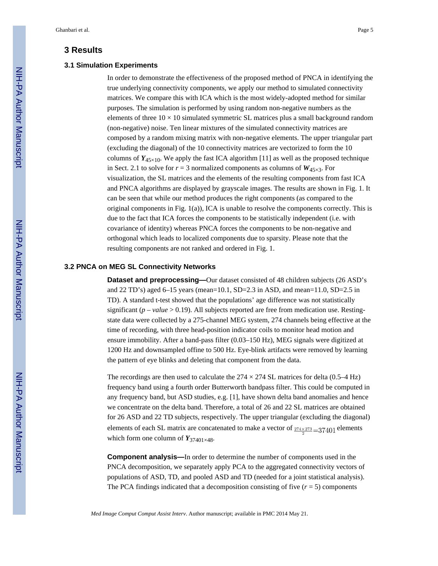#### **3 Results**

#### **3.1 Simulation Experiments**

In order to demonstrate the effectiveness of the proposed method of PNCA in identifying the true underlying connectivity components, we apply our method to simulated connectivity matrices. We compare this with ICA which is the most widely-adopted method for similar purposes. The simulation is performed by using random non-negative numbers as the elements of three  $10 \times 10$  simulated symmetric SL matrices plus a small background random (non-negative) noise. Ten linear mixtures of the simulated connectivity matrices are composed by a random mixing matrix with non-negative elements. The upper triangular part (excluding the diagonal) of the 10 connectivity matrices are vectorized to form the 10 columns of  $Y_{45\times10}$ . We apply the fast ICA algorithm [11] as well as the proposed technique in Sect. 2.1 to solve for  $r = 3$  normalized components as columns of  $W_{45 \times 3}$ . For visualization, the SL matrices and the elements of the resulting components from fast ICA and PNCA algorithms are displayed by grayscale images. The results are shown in Fig. 1. It can be seen that while our method produces the right components (as compared to the original components in Fig. 1(a)), ICA is unable to resolve the components correctly. This is due to the fact that ICA forces the components to be statistically independent (i.e. with covariance of identity) whereas PNCA forces the components to be non-negative and orthogonal which leads to localized components due to sparsity. Please note that the resulting components are not ranked and ordered in Fig. 1.

#### **3.2 PNCA on MEG SL Connectivity Networks**

**Dataset and preprocessing—**Our dataset consisted of 48 children subjects (26 ASD's and 22 TD's) aged 6–15 years (mean=10.1, SD=2.3 in ASD, and mean=11.0, SD=2.5 in TD). A standard t-test showed that the populations' age difference was not statistically significant ( $p-value > 0.19$ ). All subjects reported are free from medication use. Restingstate data were collected by a 275-channel MEG system, 274 channels being effective at the time of recording, with three head-position indicator coils to monitor head motion and ensure immobility. After a band-pass filter (0.03–150 Hz), MEG signals were digitized at 1200 Hz and downsampled offine to 500 Hz. Eye-blink artifacts were removed by learning the pattern of eye blinks and deleting that component from the data.

The recordings are then used to calculate the  $274 \times 274$  SL matrices for delta (0.5–4 Hz) frequency band using a fourth order Butterworth bandpass filter. This could be computed in any frequency band, but ASD studies, e.g. [1], have shown delta band anomalies and hence we concentrate on the delta band. Therefore, a total of 26 and 22 SL matrices are obtained for 26 ASD and 22 TD subjects, respectively. The upper triangular (excluding the diagonal) elements of each SL matrix are concatenated to make a vector of  $\frac{274 \times 273}{27401}$  elements which form one column of  $Y_{37401\times48}$ .

**Component analysis—**In order to determine the number of components used in the PNCA decomposition, we separately apply PCA to the aggregated connectivity vectors of populations of ASD, TD, and pooled ASD and TD (needed for a joint statistical analysis). The PCA findings indicated that a decomposition consisting of five  $(r = 5)$  components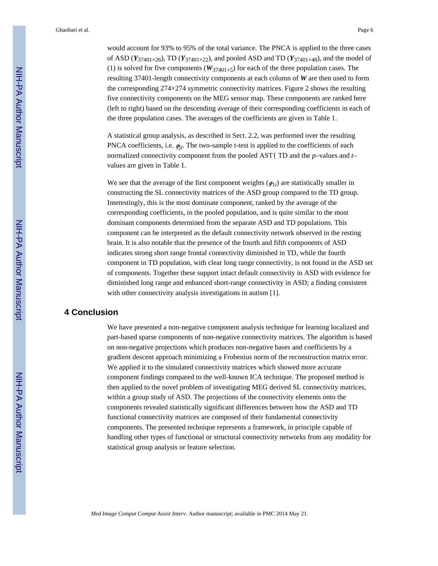would account for 93% to 95% of the total variance. The PNCA is applied to the three cases of ASD ( $Y_{37401\times26}$ ), TD ( $Y_{37401\times22}$ ), and pooled ASD and TD ( $Y_{37401\times48}$ ), and the model of (1) is solved for five components ( $W_{37401\times5}$ ) for each of the three population cases. The resulting 37401-length connectivity components at each column of *W* are then used to form the corresponding  $274\times274$  symmetric connectivity matrices. Figure 2 shows the resulting five connectivity components on the MEG sensor map. These components are ranked here (left to right) based on the descending average of their corresponding coefficients in each of the three population cases. The averages of the coefficients are given in Table 1.

A statistical group analysis, as described in Sect. 2.2, was performed over the resulting PNCA coefficients, i.e.  $\varphi_{ii}$ . The two-sample t-test is applied to the coefficients of each normalized connectivity component from the pooled AST{ TD and the *p*–values and *t*– values are given in Table 1.

We see that the average of the first component weights  $(\varphi_{1i})$  are statistically smaller in constructing the SL connectivity matrices of the ASD group compared to the TD group. Interestingly, this is the most dominate component, ranked by the average of the corresponding coefficients, in the pooled population, and is quite similar to the most dominant components determined from the separate ASD and TD populations. This component can be interpreted as the default connectivity network observed in the resting brain. It is also notable that the presence of the fourth and fifth components of ASD indicates strong short range frontal connectivity diminished in TD, while the fourth component in TD population, with clear long range connectivity, is not found in the ASD set of components. Together these support intact default connectivity in ASD with evidence for diminished long range and enhanced short-range connectivity in ASD; a finding consistent with other connectivity analysis investigations in autism [1].

# **4 Conclusion**

We have presented a non-negative component analysis technique for learning localized and part-based sparse components of non-negative connectivity matrices. The algorithm is based on non-negative projections which produces non-negative bases and coefficients by a gradient descent approach minimizing a Frobenius norm of the reconstruction matrix error. We applied it to the simulated connectivity matrices which showed more accurate component findings compared to the well-known ICA technique. The proposed method is then applied to the novel problem of investigating MEG derived SL connectivity matrices, within a group study of ASD. The projections of the connectivity elements onto the components revealed statistically significant differences between how the ASD and TD functional connectivity matrices are composed of their fundamental connectivity components. The presented technique represents a framework, in principle capable of handling other types of functional or structural connectivity networks from any modality for statistical group analysis or feature selection.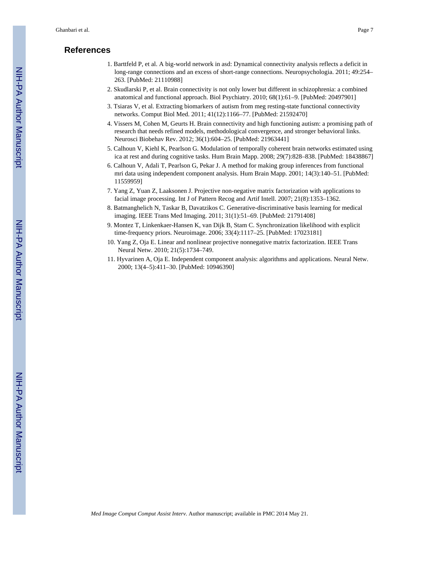# **References**

- 1. Barttfeld P, et al. A big-world network in asd: Dynamical connectivity analysis reflects a deficit in long-range connections and an excess of short-range connections. Neuropsychologia. 2011; 49:254– 263. [PubMed: 21110988]
- 2. Skudlarski P, et al. Brain connectivity is not only lower but different in schizophrenia: a combined anatomical and functional approach. Biol Psychiatry. 2010; 68(1):61–9. [PubMed: 20497901]
- 3. Tsiaras V, et al. Extracting biomarkers of autism from meg resting-state functional connectivity networks. Comput Biol Med. 2011; 41(12):1166–77. [PubMed: 21592470]
- 4. Vissers M, Cohen M, Geurts H. Brain connectivity and high functioning autism: a promising path of research that needs refined models, methodological convergence, and stronger behavioral links. Neurosci Biobehav Rev. 2012; 36(1):604–25. [PubMed: 21963441]
- 5. Calhoun V, Kiehl K, Pearlson G. Modulation of temporally coherent brain networks estimated using ica at rest and during cognitive tasks. Hum Brain Mapp. 2008; 29(7):828–838. [PubMed: 18438867]
- 6. Calhoun V, Adali T, Pearlson G, Pekar J. A method for making group inferences from functional mri data using independent component analysis. Hum Brain Mapp. 2001; 14(3):140–51. [PubMed: 11559959]
- 7. Yang Z, Yuan Z, Laaksonen J. Projective non-negative matrix factorization with applications to facial image processing. Int J of Pattern Recog and Artif Intell. 2007; 21(8):1353–1362.
- 8. Batmanghelich N, Taskar B, Davatzikos C. Generative-discriminative basis learning for medical imaging. IEEE Trans Med Imaging. 2011; 31(1):51–69. [PubMed: 21791408]
- 9. Montez T, Linkenkaer-Hansen K, van Dijk B, Stam C. Synchronization likelihood with explicit time-frequency priors. Neuroimage. 2006; 33(4):1117–25. [PubMed: 17023181]
- 10. Yang Z, Oja E. Linear and nonlinear projective nonnegative matrix factorization. IEEE Trans Neural Netw. 2010; 21(5):1734–749.
- 11. Hyvarinen A, Oja E. Independent component analysis: algorithms and applications. Neural Netw. 2000; 13(4–5):411–30. [PubMed: 10946390]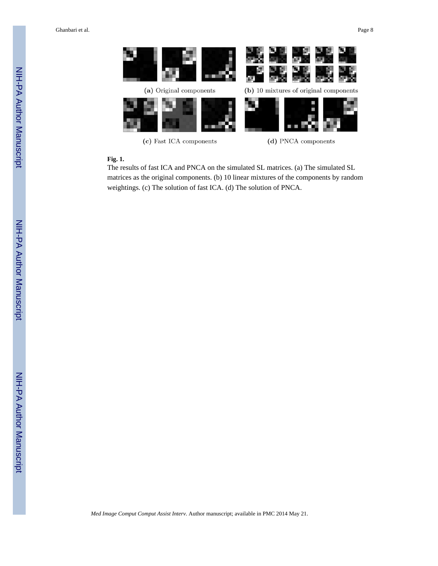

#### **Fig. 1.**

The results of fast ICA and PNCA on the simulated SL matrices. (a) The simulated SL matrices as the original components. (b) 10 linear mixtures of the components by random weightings. (c) The solution of fast ICA. (d) The solution of PNCA.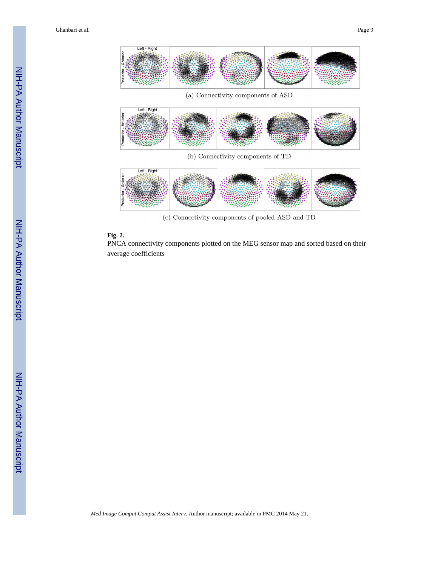

**Fig. 2.**

PNCA connectivity components plotted on the MEG sensor map and sorted based on their average coefficients